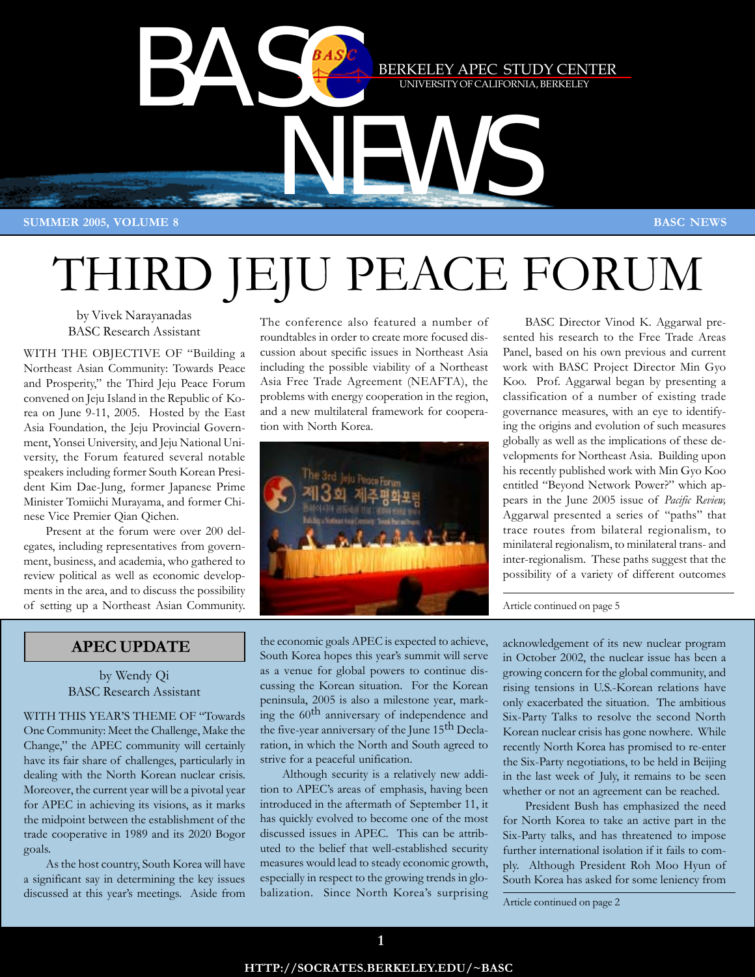

# THIRD JEJU PEACE FORUM

by Vivek Narayanadas BASC Research Assistant

WITH THE OBJECTIVE OF "Building a Northeast Asian Community: Towards Peace and Prosperity," the Third Jeju Peace Forum convened on Jeju Island in the Republic of Korea on June 9-11, 2005. Hosted by the East Asia Foundation, the Jeju Provincial Government, Yonsei University, and Jeju National University, the Forum featured several notable speakers including former South Korean President Kim Dae-Jung, former Japanese Prime Minister Tomiichi Murayama, and former Chinese Vice Premier Qian Qichen.

Present at the forum were over 200 delegates, including representatives from government, business, and academia, who gathered to review political as well as economic developments in the area, and to discuss the possibility of setting up a Northeast Asian Community.

The conference also featured a number of roundtables in order to create more focused discussion about specific issues in Northeast Asia including the possible viability of a Northeast Asia Free Trade Agreement (NEAFTA), the problems with energy cooperation in the region, and a new multilateral framework for cooperation with North Korea.



BASC Director Vinod K. Aggarwal presented his research to the Free Trade Areas Panel, based on his own previous and current work with BASC Project Director Min Gyo Koo. Prof. Aggarwal began by presenting a classification of a number of existing trade governance measures, with an eye to identifying the origins and evolution of such measures globally as well as the implications of these developments for Northeast Asia. Building upon his recently published work with Min Gyo Koo entitled "Beyond Network Power?" which appears in the June 2005 issue of *Pacific Review,* Aggarwal presented a series of "paths" that trace routes from bilateral regionalism, to minilateral regionalism, to minilateral trans- and inter-regionalism. These paths suggest that the possibility of a variety of different outcomes

Article continued on page 5

# **APEC UPDATE**

by Wendy Qi BASC Research Assistant

WITH THIS YEAR'S THEME OF "Towards One Community: Meet the Challenge, Make the Change," the APEC community will certainly have its fair share of challenges, particularly in dealing with the North Korean nuclear crisis. Moreover, the current year will be a pivotal year for APEC in achieving its visions, as it marks the midpoint between the establishment of the trade cooperative in 1989 and its 2020 Bogor goals.

As the host country, South Korea will have a significant say in determining the key issues discussed at this year's meetings. Aside from the economic goals APEC is expected to achieve, South Korea hopes this year's summit will serve as a venue for global powers to continue discussing the Korean situation. For the Korean peninsula, 2005 is also a milestone year, marking the 60<sup>th</sup> anniversary of independence and the five-year anniversary of the June 15<sup>th</sup> Declaration, in which the North and South agreed to strive for a peaceful unification.

Although security is a relatively new addition to APEC's areas of emphasis, having been introduced in the aftermath of September 11, it has quickly evolved to become one of the most discussed issues in APEC. This can be attributed to the belief that well-established security measures would lead to steady economic growth, especially in respect to the growing trends in globalization. Since North Korea's surprising

acknowledgement of its new nuclear program in October 2002, the nuclear issue has been a growing concern for the global community, and rising tensions in U.S.-Korean relations have only exacerbated the situation. The ambitious Six-Party Talks to resolve the second North Korean nuclear crisis has gone nowhere. While recently North Korea has promised to re-enter the Six-Party negotiations, to be held in Beijing in the last week of July, it remains to be seen whether or not an agreement can be reached.

President Bush has emphasized the need for North Korea to take an active part in the Six-Party talks, and has threatened to impose further international isolation if it fails to comply. Although President Roh Moo Hyun of South Korea has asked for some leniency from

Article continued on page 2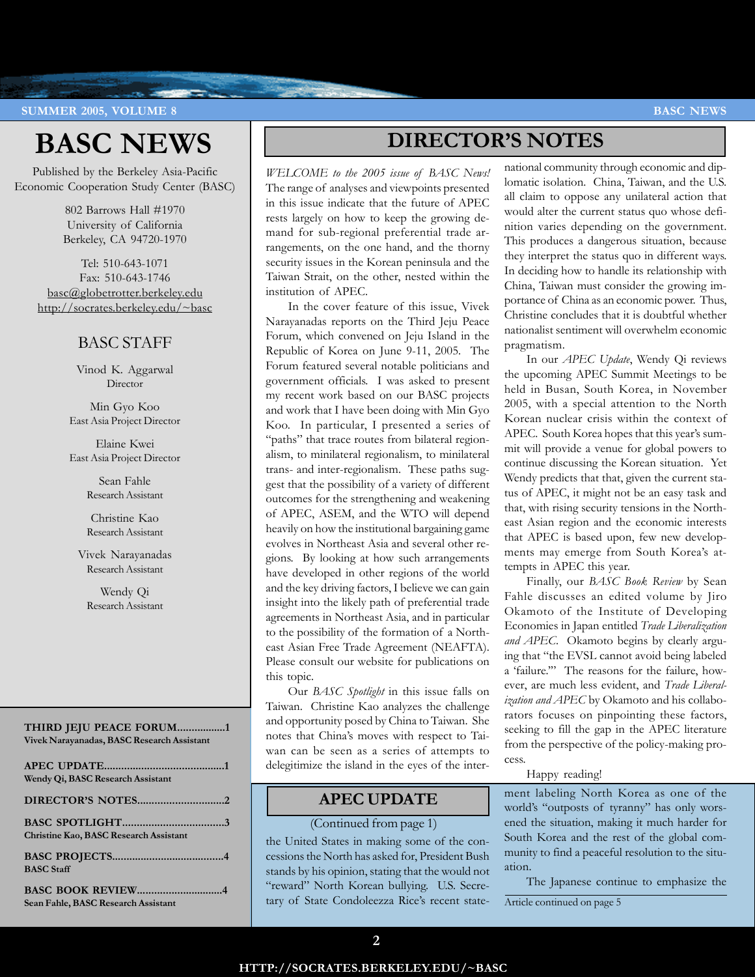**SUMMER 2005, VOLUME 8 BASC NEWS** 

# **BASC NEWS**

Published by the Berkeley Asia-Pacific Economic Cooperation Study Center (BASC)

> 802 Barrows Hall #1970 University of California Berkeley, CA 94720-1970

Tel: 510-643-1071 Fax: 510-643-1746 basc@globetrotter.berkeley.edu http://socrates.berkeley.edu/~basc

# BASC STAFF

Vinod K. Aggarwal Director

Min Gyo Koo East Asia Project Director

Elaine Kwei East Asia Project Director

> Sean Fahle Research Assistant

Christine Kao Research Assistant

Vivek Narayanadas Research Assistant

Wendy Qi Research Assistant

## **THIRD JEJU PEACE FORUM.................1 Vivek Narayanadas, BASC Research Assistant**

| Wendy Qi, BASC Research Assistant             |
|-----------------------------------------------|
|                                               |
| <b>Christine Kao, BASC Research Assistant</b> |
| <b>BASC</b> Staff                             |
| Sean Fahle, BASC Research Assistant           |

# **DIRECTOR'S NOTES**

*WELCOME to the 2005 issue of BASC News!* The range of analyses and viewpoints presented in this issue indicate that the future of APEC rests largely on how to keep the growing demand for sub-regional preferential trade arrangements, on the one hand, and the thorny security issues in the Korean peninsula and the Taiwan Strait, on the other, nested within the institution of APEC.

In the cover feature of this issue, Vivek Narayanadas reports on the Third Jeju Peace Forum, which convened on Jeju Island in the Republic of Korea on June 9-11, 2005. The Forum featured several notable politicians and government officials. I was asked to present my recent work based on our BASC projects and work that I have been doing with Min Gyo Koo. In particular, I presented a series of "paths" that trace routes from bilateral regionalism, to minilateral regionalism, to minilateral trans- and inter-regionalism. These paths suggest that the possibility of a variety of different outcomes for the strengthening and weakening of APEC, ASEM, and the WTO will depend heavily on how the institutional bargaining game evolves in Northeast Asia and several other regions. By looking at how such arrangements have developed in other regions of the world and the key driving factors, I believe we can gain insight into the likely path of preferential trade agreements in Northeast Asia, and in particular to the possibility of the formation of a Northeast Asian Free Trade Agreement (NEAFTA). Please consult our website for publications on this topic.

Our *BASC Spotlight* in this issue falls on Taiwan. Christine Kao analyzes the challenge and opportunity posed by China to Taiwan. She notes that China's moves with respect to Taiwan can be seen as a series of attempts to delegitimize the island in the eyes of the inter-

# **APEC UPDATE**

# (Continued from page 1)

the United States in making some of the concessions the North has asked for, President Bush stands by his opinion, stating that the would not "reward" North Korean bullying. U.S. Secretary of State Condoleezza Rice's recent statenational community through economic and diplomatic isolation. China, Taiwan, and the U.S. all claim to oppose any unilateral action that would alter the current status quo whose definition varies depending on the government. This produces a dangerous situation, because they interpret the status quo in different ways. In deciding how to handle its relationship with China, Taiwan must consider the growing importance of China as an economic power. Thus, Christine concludes that it is doubtful whether nationalist sentiment will overwhelm economic pragmatism.

In our *APEC Update*, Wendy Qi reviews the upcoming APEC Summit Meetings to be held in Busan, South Korea, in November 2005, with a special attention to the North Korean nuclear crisis within the context of APEC. South Korea hopes that this year's summit will provide a venue for global powers to continue discussing the Korean situation. Yet Wendy predicts that that, given the current status of APEC, it might not be an easy task and that, with rising security tensions in the Northeast Asian region and the economic interests that APEC is based upon, few new developments may emerge from South Korea's attempts in APEC this year.

Finally, our *BASC Book Review* by Sean Fahle discusses an edited volume by Jiro Okamoto of the Institute of Developing Economies in Japan entitled *Trade Liberalization and APEC*. Okamoto begins by clearly arguing that "the EVSL cannot avoid being labeled a 'failure.'" The reasons for the failure, however, are much less evident, and *Trade Liberalization and APEC* by Okamoto and his collaborators focuses on pinpointing these factors, seeking to fill the gap in the APEC literature from the perspective of the policy-making process.

# Happy reading!

ment labeling North Korea as one of the world's "outposts of tyranny" has only worsened the situation, making it much harder for South Korea and the rest of the global community to find a peaceful resolution to the situation.

The Japanese continue to emphasize the

Article continued on page 5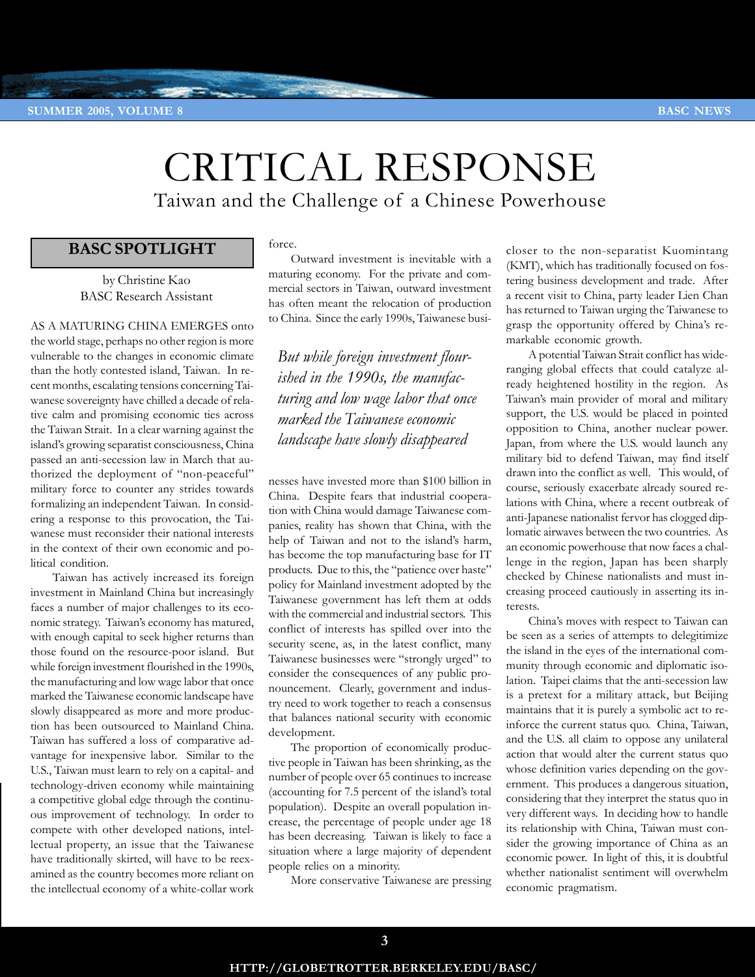# CRITICAL RESPONSE Taiwan and the Challenge of a Chinese Powerhouse

# **BASC SPOTLIGHT**

by Christine Kao BASC Research Assistant

AS A MATURING CHINA EMERGES onto the world stage, perhaps no other region is more vulnerable to the changes in economic climate than the hotly contested island, Taiwan. In recent months, escalating tensions concerning Taiwanese sovereignty have chilled a decade of relative calm and promising economic ties across the Taiwan Strait. In a clear warning against the island's growing separatist consciousness, China passed an anti-secession law in March that authorized the deployment of "non-peaceful" military force to counter any strides towards formalizing an independent Taiwan. In considering a response to this provocation, the Taiwanese must reconsider their national interests in the context of their own economic and political condition.

Taiwan has actively increased its foreign investment in Mainland China but increasingly faces a number of major challenges to its economic strategy. Taiwan's economy has matured, with enough capital to seek higher returns than those found on the resource-poor island. But while foreign investment flourished in the 1990s, the manufacturing and low wage labor that once marked the Taiwanese economic landscape have slowly disappeared as more and more production has been outsourced to Mainland China. Taiwan has suffered a loss of comparative advantage for inexpensive labor. Similar to the U.S., Taiwan must learn to rely on a capital- and technology-driven economy while maintaining a competitive global edge through the continuous improvement of technology. In order to compete with other developed nations, intellectual property, an issue that the Taiwanese have traditionally skirted, will have to be reexamined as the country becomes more reliant on the intellectual economy of a white-collar work

# force.

Outward investment is inevitable with a maturing economy. For the private and commercial sectors in Taiwan, outward investment has often meant the relocation of production to China. Since the early 1990s, Taiwanese busi-

*But while foreign investment flourished in the 1990s, the manufacturing and low wage labor that once marked the Taiwanese economic landscape have slowly disappeared*

nesses have invested more than \$100 billion in China. Despite fears that industrial cooperation with China would damage Taiwanese companies, reality has shown that China, with the help of Taiwan and not to the island's harm, has become the top manufacturing base for IT products. Due to this, the "patience over haste" policy for Mainland investment adopted by the Taiwanese government has left them at odds with the commercial and industrial sectors. This conflict of interests has spilled over into the security scene, as, in the latest conflict, many Taiwanese businesses were "strongly urged" to consider the consequences of any public pronouncement. Clearly, government and industry need to work together to reach a consensus that balances national security with economic development.

The proportion of economically productive people in Taiwan has been shrinking, as the number of people over 65 continues to increase (accounting for 7.5 percent of the island's total population). Despite an overall population increase, the percentage of people under age 18 has been decreasing. Taiwan is likely to face a situation where a large majority of dependent people relies on a minority.

More conservative Taiwanese are pressing

closer to the non-separatist Kuomintang (KMT), which has traditionally focused on fostering business development and trade. After a recent visit to China, party leader Lien Chan has returned to Taiwan urging the Taiwanese to grasp the opportunity offered by China's remarkable economic growth.

A potential Taiwan Strait conflict has wideranging global effects that could catalyze already heightened hostility in the region. As Taiwan's main provider of moral and military support, the U.S. would be placed in pointed opposition to China, another nuclear power. Japan, from where the U.S. would launch any military bid to defend Taiwan, may find itself drawn into the conflict as well. This would, of course, seriously exacerbate already soured relations with China, where a recent outbreak of anti-Japanese nationalist fervor has clogged diplomatic airwaves between the two countries. As an economic powerhouse that now faces a challenge in the region, Japan has been sharply checked by Chinese nationalists and must increasing proceed cautiously in asserting its interests.

China's moves with respect to Taiwan can be seen as a series of attempts to delegitimize the island in the eyes of the international community through economic and diplomatic isolation. Taipei claims that the anti-secession law is a pretext for a military attack, but Beijing maintains that it is purely a symbolic act to reinforce the current status quo. China, Taiwan, and the U.S. all claim to oppose any unilateral action that would alter the current status quo whose definition varies depending on the government. This produces a dangerous situation, considering that they interpret the status quo in very different ways. In deciding how to handle its relationship with China, Taiwan must consider the growing importance of China as an economic power. In light of this, it is doubtful whether nationalist sentiment will overwhelm economic pragmatism.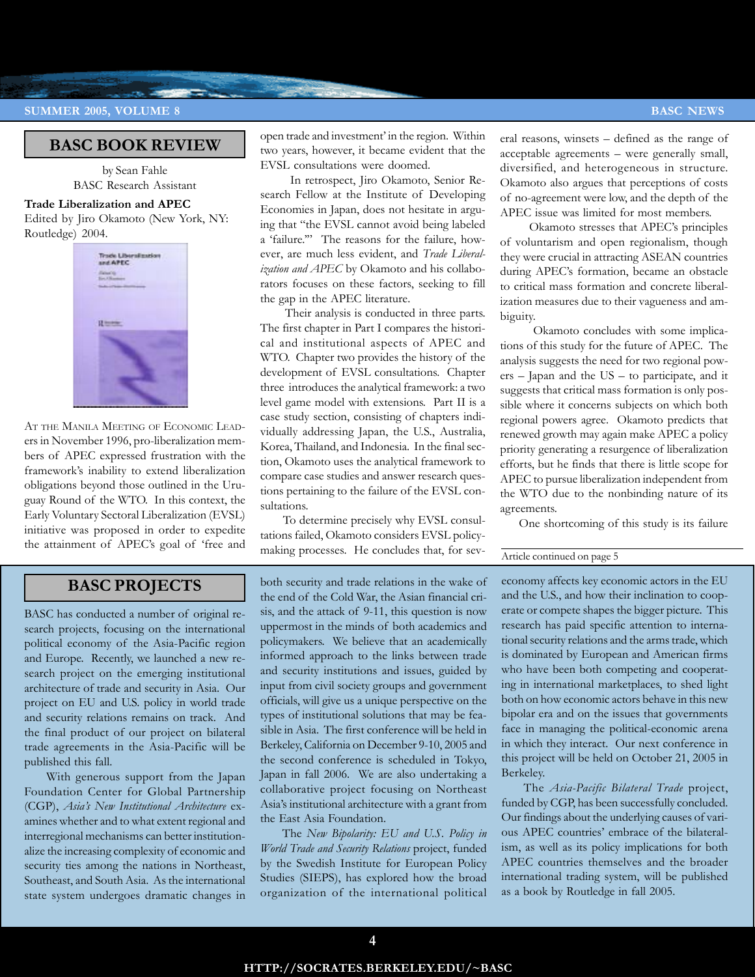# **SUMMER 2005, VOLUME 8 BASC NEWS**

# **BASC BOOK REVIEW**

by Sean Fahle BASC Research Assistant

## **Trade Liberalization and APEC**

Edited by Jiro Okamoto (New York, NY: Routledge) 2004.



AT THE MANILA MEETING OF ECONOMIC LEADers in November 1996, pro-liberalization members of APEC expressed frustration with the framework's inability to extend liberalization obligations beyond those outlined in the Uruguay Round of the WTO. In this context, the Early Voluntary Sectoral Liberalization (EVSL) initiative was proposed in order to expedite the attainment of APEC's goal of 'free and open trade and investment' in the region. Within two years, however, it became evident that the EVSL consultations were doomed.

 In retrospect, Jiro Okamoto, Senior Research Fellow at the Institute of Developing Economies in Japan, does not hesitate in arguing that "the EVSL cannot avoid being labeled a 'failure.'" The reasons for the failure, however, are much less evident, and *Trade Liberalization and APEC* by Okamoto and his collaborators focuses on these factors, seeking to fill the gap in the APEC literature.

 Their analysis is conducted in three parts. The first chapter in Part I compares the historical and institutional aspects of APEC and WTO. Chapter two provides the history of the development of EVSL consultations. Chapter three introduces the analytical framework: a two level game model with extensions. Part II is a case study section, consisting of chapters individually addressing Japan, the U.S., Australia, Korea, Thailand, and Indonesia. In the final section, Okamoto uses the analytical framework to compare case studies and answer research questions pertaining to the failure of the EVSL consultations.

 To determine precisely why EVSL consultations failed, Okamoto considers EVSL policymaking processes. He concludes that, for sev-

# **BASC PROJECTS**

BASC has conducted a number of original research projects, focusing on the international political economy of the Asia-Pacific region and Europe. Recently, we launched a new research project on the emerging institutional architecture of trade and security in Asia. Our project on EU and U.S. policy in world trade and security relations remains on track. And the final product of our project on bilateral trade agreements in the Asia-Pacific will be published this fall.

With generous support from the Japan Foundation Center for Global Partnership (CGP), *Asia's New Institutional Architecture* examines whether and to what extent regional and interregional mechanisms can better institutionalize the increasing complexity of economic and security ties among the nations in Northeast, Southeast, and South Asia. As the international state system undergoes dramatic changes in both security and trade relations in the wake of the end of the Cold War, the Asian financial crisis, and the attack of 9-11, this question is now uppermost in the minds of both academics and policymakers. We believe that an academically informed approach to the links between trade and security institutions and issues, guided by input from civil society groups and government officials, will give us a unique perspective on the types of institutional solutions that may be feasible in Asia. The first conference will be held in Berkeley, California on December 9-10, 2005 and the second conference is scheduled in Tokyo, Japan in fall 2006. We are also undertaking a collaborative project focusing on Northeast Asia's institutional architecture with a grant from the East Asia Foundation.

The *New Bipolarity: EU and U.S. Policy in World Trade and Security Relations* project, funded by the Swedish Institute for European Policy Studies (SIEPS), has explored how the broad organization of the international political eral reasons, winsets – defined as the range of acceptable agreements – were generally small, diversified, and heterogeneous in structure. Okamoto also argues that perceptions of costs of no-agreement were low, and the depth of the APEC issue was limited for most members.

 Okamoto stresses that APEC's principles of voluntarism and open regionalism, though they were crucial in attracting ASEAN countries during APEC's formation, became an obstacle to critical mass formation and concrete liberalization measures due to their vagueness and ambiguity.

 Okamoto concludes with some implications of this study for the future of APEC. The analysis suggests the need for two regional powers – Japan and the US – to participate, and it suggests that critical mass formation is only possible where it concerns subjects on which both regional powers agree. Okamoto predicts that renewed growth may again make APEC a policy priority generating a resurgence of liberalization efforts, but he finds that there is little scope for APEC to pursue liberalization independent from the WTO due to the nonbinding nature of its agreements.

One shortcoming of this study is its failure

## Article continued on page 5

economy affects key economic actors in the EU and the U.S., and how their inclination to cooperate or compete shapes the bigger picture. This research has paid specific attention to international security relations and the arms trade, which is dominated by European and American firms who have been both competing and cooperating in international marketplaces, to shed light both on how economic actors behave in this new bipolar era and on the issues that governments face in managing the political-economic arena in which they interact. Our next conference in this project will be held on October 21, 2005 in Berkeley.

The *Asia-Pacific Bilateral Trade* project, funded by CGP, has been successfully concluded. Our findings about the underlying causes of various APEC countries' embrace of the bilateralism, as well as its policy implications for both APEC countries themselves and the broader international trading system, will be published as a book by Routledge in fall 2005.